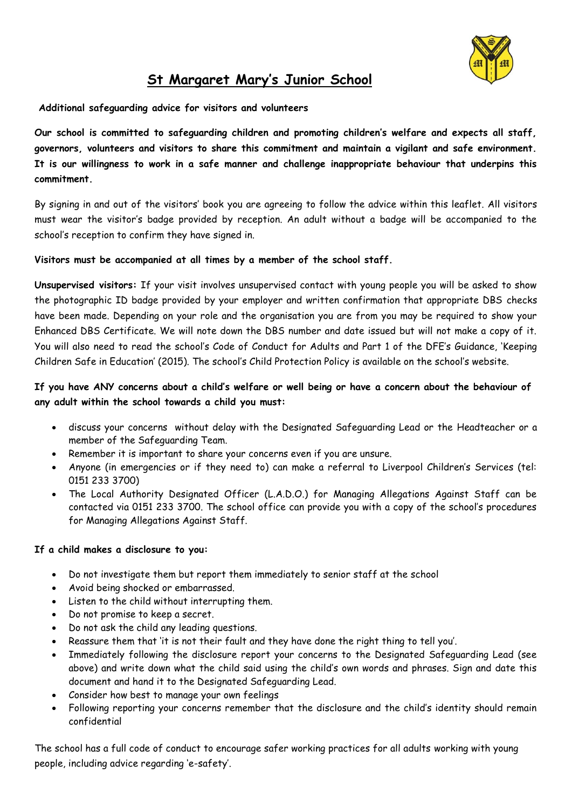

# **St Margaret Mary's Junior School**

**Additional safeguarding advice for visitors and volunteers**

**Our school is committed to safeguarding children and promoting children's welfare and expects all staff, governors, volunteers and visitors to share this commitment and maintain a vigilant and safe environment. It is our willingness to work in a safe manner and challenge inappropriate behaviour that underpins this commitment.**

By signing in and out of the visitors' book you are agreeing to follow the advice within this leaflet. All visitors must wear the visitor's badge provided by reception. An adult without a badge will be accompanied to the school's reception to confirm they have signed in.

## **Visitors must be accompanied at all times by a member of the school staff.**

**Unsupervised visitors:** If your visit involves unsupervised contact with young people you will be asked to show the photographic ID badge provided by your employer and written confirmation that appropriate DBS checks have been made. Depending on your role and the organisation you are from you may be required to show your Enhanced DBS Certificate. We will note down the DBS number and date issued but will not make a copy of it. You will also need to read the school's Code of Conduct for Adults and Part 1 of the DFE's Guidance, 'Keeping Children Safe in Education' (2015). The school's Child Protection Policy is available on the school's website.

## **If you have ANY concerns about a child's welfare or well being or have a concern about the behaviour of any adult within the school towards a child you must:**

- discuss your concerns without delay with the Designated Safeguarding Lead or the Headteacher or a member of the Safeguarding Team.
- Remember it is important to share your concerns even if you are unsure.
- Anyone (in emergencies or if they need to) can make a referral to Liverpool Children's Services (tel: 0151 233 3700)
- The Local Authority Designated Officer (L.A.D.O.) for Managing Allegations Against Staff can be contacted via 0151 233 3700. The school office can provide you with a copy of the school's procedures for Managing Allegations Against Staff.

#### **If a child makes a disclosure to you:**

- Do not investigate them but report them immediately to senior staff at the school
- Avoid being shocked or embarrassed.
- Listen to the child without interrupting them.
- Do not promise to keep a secret.
- Do not ask the child any leading questions.
- Reassure them that 'it is not their fault and they have done the right thing to tell you'.
- Immediately following the disclosure report your concerns to the Designated Safeguarding Lead (see above) and write down what the child said using the child's own words and phrases. Sign and date this document and hand it to the Designated Safeguarding Lead.
- Consider how best to manage your own feelings
- Following reporting your concerns remember that the disclosure and the child's identity should remain confidential

The school has a full code of conduct to encourage safer working practices for all adults working with young people, including advice regarding 'e-safety'.